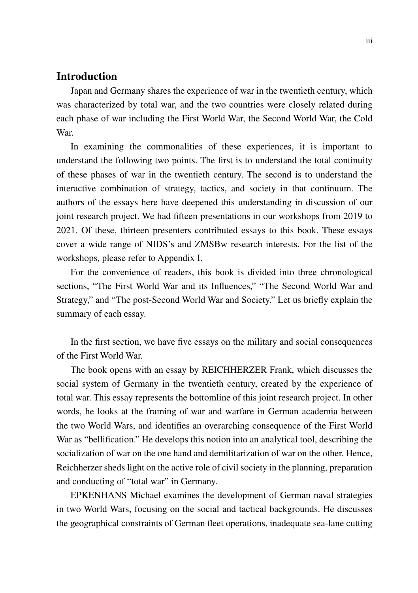## **Introduction**

Japan and Germany shares the experience of war in the twentieth century, which was characterized by total war, and the two countries were closely related during each phase of war including the First World War, the Second World War, the Cold War.

In examining the commonalities of these experiences, it is important to understand the following two points. The first is to understand the total continuity of these phases of war in the twentieth century. The second is to understand the interactive combination of strategy, tactics, and society in that continuum. The authors of the essays here have deepened this understanding in discussion of our joint research project. We had fifteen presentations in our workshops from 2019 to 2021. Of these, thirteen presenters contributed essays to this book. These essays cover a wide range of NIDS's and ZMSBw research interests. For the list of the workshops, please refer to Appendix I.

For the convenience of readers, this book is divided into three chronological sections, "The First World War and its Influences," "The Second World War and Strategy," and "The post-Second World War and Society." Let us briefly explain the summary of each essay.

In the first section, we have five essays on the military and social consequences of the First World War.

The book opens with an essay by REICHHERZER Frank, which discusses the social system of Germany in the twentieth century, created by the experience of total war. This essay represents the bottomline of this joint research project. In other words, he looks at the framing of war and warfare in German academia between the two World Wars, and identifies an overarching consequence of the First World War as "bellification." He develops this notion into an analytical tool, describing the socialization of war on the one hand and demilitarization of war on the other. Hence, Reichherzer sheds light on the active role of civil society in the planning, preparation and conducting of "total war" in Germany.

EPKENHANS Michael examines the development of German naval strategies in two World Wars, focusing on the social and tactical backgrounds. He discusses the geographical constraints of German fleet operations, inadequate sea-lane cutting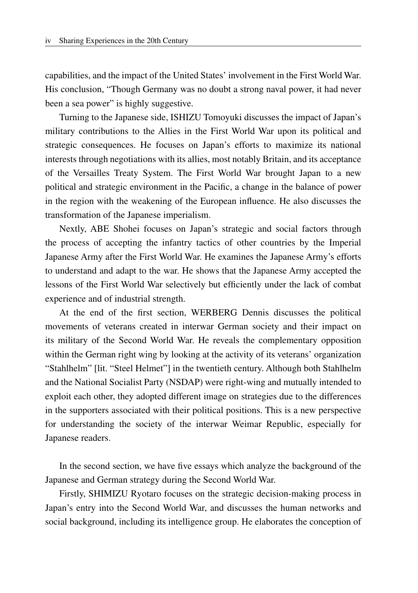capabilities, and the impact of the United States' involvement in the First World War. His conclusion, "Though Germany was no doubt a strong naval power, it had never been a sea power" is highly suggestive.

Turning to the Japanese side, ISHIZU Tomoyuki discusses the impact of Japan's military contributions to the Allies in the First World War upon its political and strategic consequences. He focuses on Japan's efforts to maximize its national interests through negotiations with its allies, most notably Britain, and its acceptance of the Versailles Treaty System. The First World War brought Japan to a new political and strategic environment in the Pacific, a change in the balance of power in the region with the weakening of the European influence. He also discusses the transformation of the Japanese imperialism.

Nextly, ABE Shohei focuses on Japan's strategic and social factors through the process of accepting the infantry tactics of other countries by the Imperial Japanese Army after the First World War. He examines the Japanese Army's efforts to understand and adapt to the war. He shows that the Japanese Army accepted the lessons of the First World War selectively but efficiently under the lack of combat experience and of industrial strength.

At the end of the first section, WERBERG Dennis discusses the political movements of veterans created in interwar German society and their impact on its military of the Second World War. He reveals the complementary opposition within the German right wing by looking at the activity of its veterans' organization "Stahlhelm" [lit. "Steel Helmet"] in the twentieth century. Although both Stahlhelm and the National Socialist Party (NSDAP) were right-wing and mutually intended to exploit each other, they adopted different image on strategies due to the differences in the supporters associated with their political positions. This is a new perspective for understanding the society of the interwar Weimar Republic, especially for Japanese readers.

In the second section, we have five essays which analyze the background of the Japanese and German strategy during the Second World War.

Firstly, SHIMIZU Ryotaro focuses on the strategic decision-making process in Japan's entry into the Second World War, and discusses the human networks and social background, including its intelligence group. He elaborates the conception of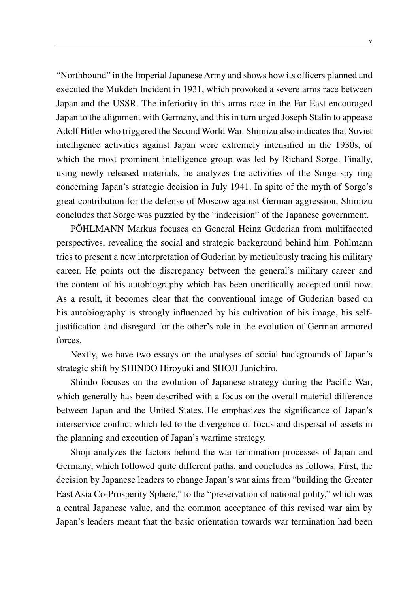"Northbound" in the Imperial Japanese Army and shows how its officers planned and executed the Mukden Incident in 1931, which provoked a severe arms race between Japan and the USSR. The inferiority in this arms race in the Far East encouraged Japan to the alignment with Germany, and this in turn urged Joseph Stalin to appease Adolf Hitler who triggered the Second World War. Shimizu also indicates that Soviet intelligence activities against Japan were extremely intensified in the 1930s, of which the most prominent intelligence group was led by Richard Sorge. Finally, using newly released materials, he analyzes the activities of the Sorge spy ring concerning Japan's strategic decision in July 1941. In spite of the myth of Sorge's great contribution for the defense of Moscow against German aggression, Shimizu concludes that Sorge was puzzled by the "indecision" of the Japanese government.

PÖHLMANN Markus focuses on General Heinz Guderian from multifaceted perspectives, revealing the social and strategic background behind him. Pöhlmann tries to present a new interpretation of Guderian by meticulously tracing his military career. He points out the discrepancy between the general's military career and the content of his autobiography which has been uncritically accepted until now. As a result, it becomes clear that the conventional image of Guderian based on his autobiography is strongly influenced by his cultivation of his image, his selfjustification and disregard for the other's role in the evolution of German armored forces.

Nextly, we have two essays on the analyses of social backgrounds of Japan's strategic shift by SHINDO Hiroyuki and SHOJI Junichiro.

Shindo focuses on the evolution of Japanese strategy during the Pacific War, which generally has been described with a focus on the overall material difference between Japan and the United States. He emphasizes the significance of Japan's interservice conflict which led to the divergence of focus and dispersal of assets in the planning and execution of Japan's wartime strategy.

Shoji analyzes the factors behind the war termination processes of Japan and Germany, which followed quite different paths, and concludes as follows. First, the decision by Japanese leaders to change Japan's war aims from "building the Greater East Asia Co-Prosperity Sphere," to the "preservation of national polity," which was a central Japanese value, and the common acceptance of this revised war aim by Japan's leaders meant that the basic orientation towards war termination had been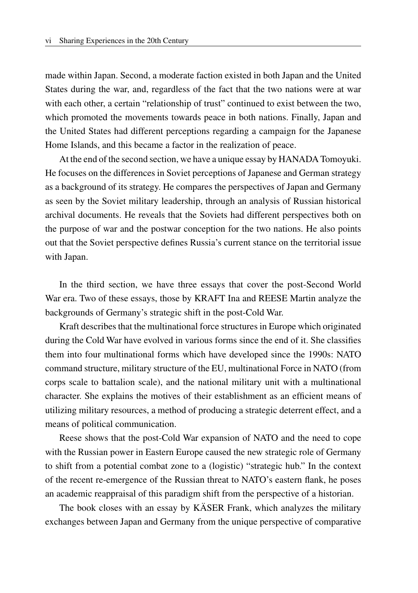made within Japan. Second, a moderate faction existed in both Japan and the United States during the war, and, regardless of the fact that the two nations were at war with each other, a certain "relationship of trust" continued to exist between the two, which promoted the movements towards peace in both nations. Finally, Japan and the United States had different perceptions regarding a campaign for the Japanese Home Islands, and this became a factor in the realization of peace.

At the end of the second section, we have a unique essay by HANADA Tomoyuki. He focuses on the differences in Soviet perceptions of Japanese and German strategy as a background of its strategy. He compares the perspectives of Japan and Germany as seen by the Soviet military leadership, through an analysis of Russian historical archival documents. He reveals that the Soviets had different perspectives both on the purpose of war and the postwar conception for the two nations. He also points out that the Soviet perspective defines Russia's current stance on the territorial issue with Japan.

In the third section, we have three essays that cover the post-Second World War era. Two of these essays, those by KRAFT Ina and REESE Martin analyze the backgrounds of Germany's strategic shift in the post-Cold War.

Kraft describes that the multinational force structures in Europe which originated during the Cold War have evolved in various forms since the end of it. She classifies them into four multinational forms which have developed since the 1990s: NATO command structure, military structure of the EU, multinational Force in NATO (from corps scale to battalion scale), and the national military unit with a multinational character. She explains the motives of their establishment as an efficient means of utilizing military resources, a method of producing a strategic deterrent effect, and a means of political communication.

Reese shows that the post-Cold War expansion of NATO and the need to cope with the Russian power in Eastern Europe caused the new strategic role of Germany to shift from a potential combat zone to a (logistic) "strategic hub." In the context of the recent re-emergence of the Russian threat to NATO's eastern flank, he poses an academic reappraisal of this paradigm shift from the perspective of a historian.

The book closes with an essay by KÄSER Frank, which analyzes the military exchanges between Japan and Germany from the unique perspective of comparative